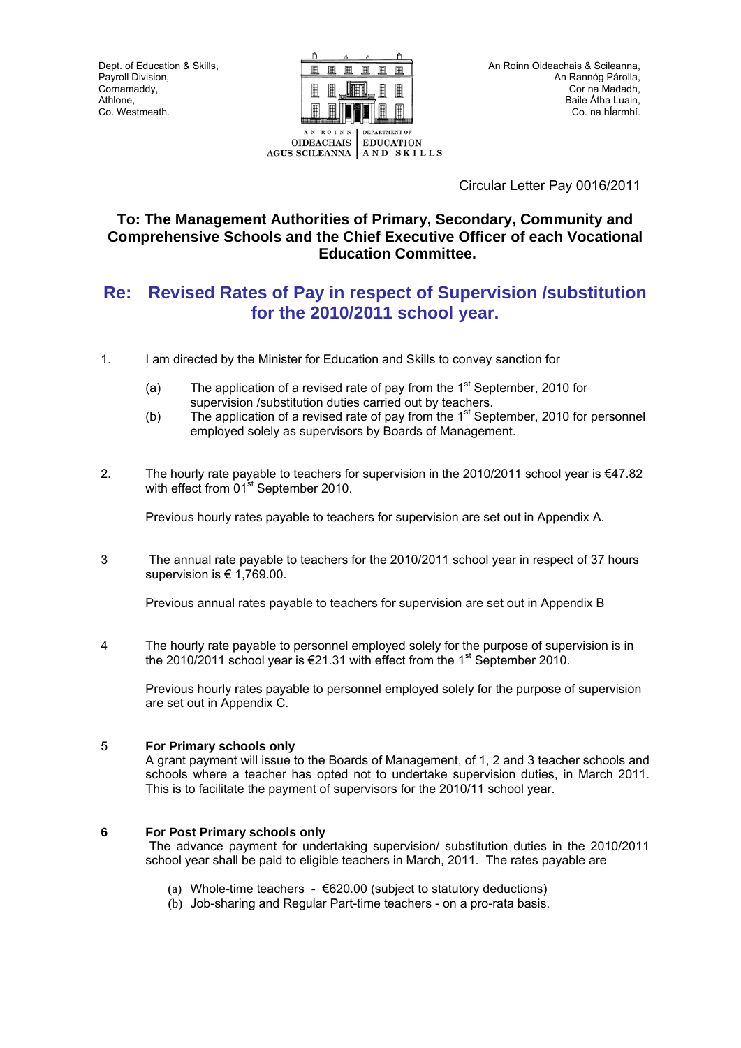Dept. of Education & Skills, Payroll Division. Cornamaddy, Athlone, Co. Westmeath.



Circular Letter Pay 0016/2011

# **To: The Management Authorities of Primary, Secondary, Community and Comprehensive Schools and the Chief Executive Officer of each Vocational Education Committee.**

# **Re: Revised Rates of Pay in respect of Supervision /substitution for the 2010/2011 school year.**

- 1. I am directed by the Minister for Education and Skills to convey sanction for
	- (a) The application of a revised rate of pay from the  $1<sup>st</sup>$  September, 2010 for supervision /substitution duties carried out by teachers.
	- (b) The application of a revised rate of pay from the  $1<sup>st</sup>$  September, 2010 for personnel employed solely as supervisors by Boards of Management.
- 2. The hourly rate payable to teachers for supervision in the 2010/2011 school year is  $\epsilon$ 47.82 with effect from 01<sup>st</sup> September 2010.

Previous hourly rates payable to teachers for supervision are set out in Appendix A.

3 The annual rate payable to teachers for the 2010/2011 school year in respect of 37 hours supervision is € 1,769.00.

Previous annual rates payable to teachers for supervision are set out in Appendix B

4 The hourly rate payable to personnel employed solely for the purpose of supervision is in the 2010/2011 school year is  $\epsilon$ 21.31 with effect from the 1<sup>st</sup> September 2010.

 Previous hourly rates payable to personnel employed solely for the purpose of supervision are set out in Appendix C.

#### 5 **For Primary schools only**

A grant payment will issue to the Boards of Management, of 1, 2 and 3 teacher schools and schools where a teacher has opted not to undertake supervision duties, in March 2011. This is to facilitate the payment of supervisors for the 2010/11 school year.

#### **6 For Post Primary schools only**

The advance payment for undertaking supervision/ substitution duties in the 2010/2011 school year shall be paid to eligible teachers in March, 2011. The rates payable are

- (a) Whole-time teachers  $\epsilon$ 620.00 (subject to statutory deductions)
- (b) Job-sharing and Regular Part-time teachers on a pro-rata basis.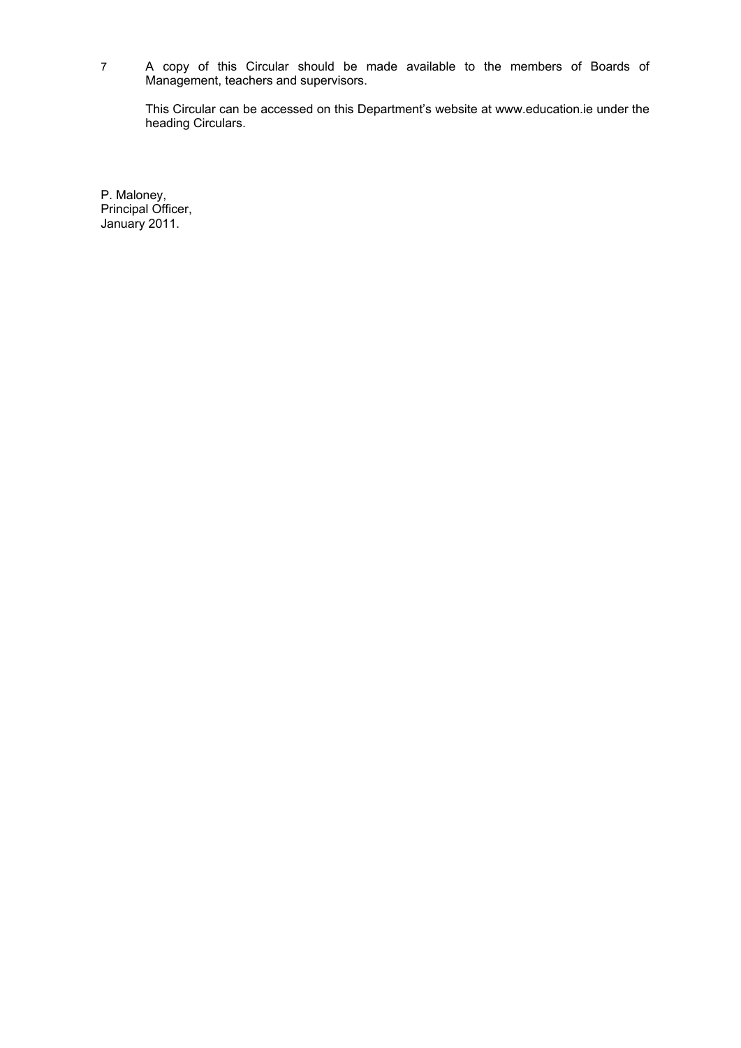7 A copy of this Circular should be made available to the members of Boards of Management, teachers and supervisors.

This Circular can be accessed on this Department's website at www.education.ie under the heading Circulars.

P. Maloney, Principal Officer, January 2011.